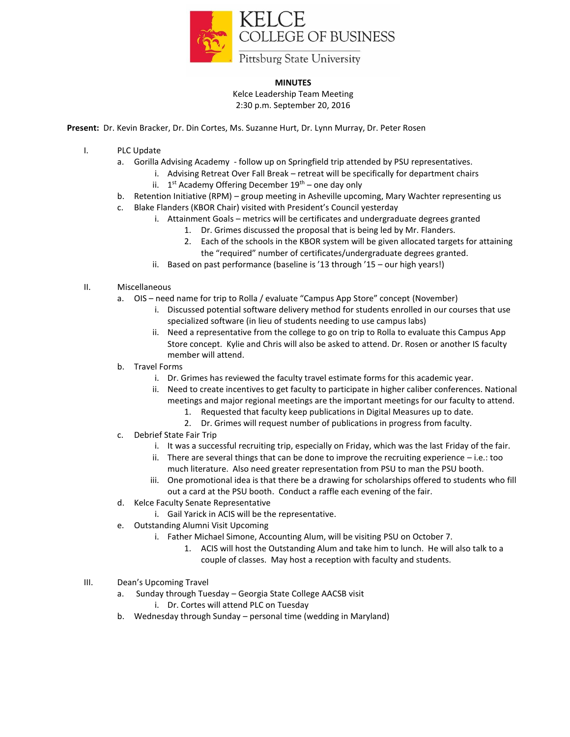

## **MINUTES**

Kelce Leadership Team Meeting 2:30 p.m. September 20, 2016

**Present:** Dr. Kevin Bracker, Dr. Din Cortes, Ms. Suzanne Hurt, Dr. Lynn Murray, Dr. Peter Rosen

- I. PLC Update
	- a. Gorilla Advising Academy follow up on Springfield trip attended by PSU representatives.
		- i. Advising Retreat Over Fall Break retreat will be specifically for department chairs ii. 1<sup>st</sup> Academy Offering December 19<sup>th</sup> – one day only
	- b. Retention Initiative (RPM) group meeting in Asheville upcoming, Mary Wachter representing us
	- c. Blake Flanders (KBOR Chair) visited with President's Council yesterday
		- i. Attainment Goals metrics will be certificates and undergraduate degrees granted
			- 1. Dr. Grimes discussed the proposal that is being led by Mr. Flanders.
			- 2. Each of the schools in the KBOR system will be given allocated targets for attaining the "required" number of certificates/undergraduate degrees granted.
		- ii. Based on past performance (baseline is '13 through '15 our high years!)
- II. Miscellaneous
	- a. OIS need name for trip to Rolla / evaluate "Campus App Store" concept (November)
		- i. Discussed potential software delivery method for students enrolled in our courses that use specialized software (in lieu of students needing to use campus labs)
		- ii. Need a representative from the college to go on trip to Rolla to evaluate this Campus App Store concept. Kylie and Chris will also be asked to attend. Dr. Rosen or another IS faculty member will attend.
	- b. Travel Forms
		- i. Dr. Grimes has reviewed the faculty travel estimate forms for this academic year.
		- ii. Need to create incentives to get faculty to participate in higher caliber conferences. National meetings and major regional meetings are the important meetings for our faculty to attend.
			- 1. Requested that faculty keep publications in Digital Measures up to date.
			- 2. Dr. Grimes will request number of publications in progress from faculty.
	- c. Debrief State Fair Trip
		- i. It was a successful recruiting trip, especially on Friday, which was the last Friday of the fair.
		- ii. There are several things that can be done to improve the recruiting experience i.e.: too much literature. Also need greater representation from PSU to man the PSU booth.
		- iii. One promotional idea is that there be a drawing for scholarships offered to students who fill out a card at the PSU booth. Conduct a raffle each evening of the fair.
	- d. Kelce Faculty Senate Representative
		- i. Gail Yarick in ACIS will be the representative.
	- e. Outstanding Alumni Visit Upcoming
		- i. Father Michael Simone, Accounting Alum, will be visiting PSU on October 7.
			- 1. ACIS will host the Outstanding Alum and take him to lunch. He will also talk to a couple of classes. May host a reception with faculty and students.
- III. Dean's Upcoming Travel
	- a. Sunday through Tuesday Georgia State College AACSB visit
		- i. Dr. Cortes will attend PLC on Tuesday
	- b. Wednesday through Sunday personal time (wedding in Maryland)